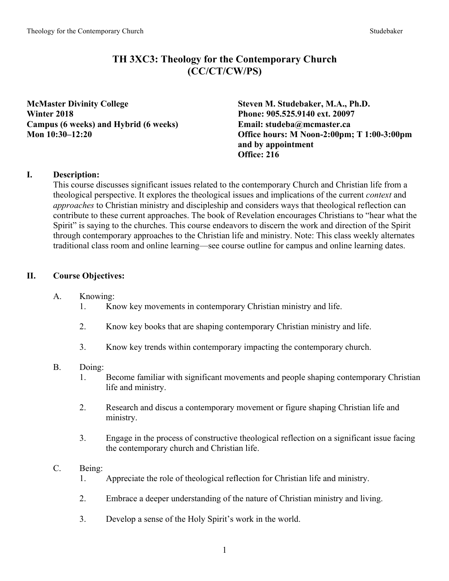# **TH 3XC3: Theology for the Contemporary Church (CC/CT/CW/PS)**

**McMaster Divinity College Steven M. Studebaker, M.A., Ph.D. Winter 2018 Phone: 905.525.9140 ext. 20097 Campus (6 weeks) and Hybrid (6 weeks) Email: studeba@mcmaster.ca**

**Mon 10:30–12:20 Office hours: M Noon-2:00pm; T 1:00-3:00pm and by appointment Office: 216**

# **I. Description:**

This course discusses significant issues related to the contemporary Church and Christian life from a theological perspective. It explores the theological issues and implications of the current *context* and *approaches* to Christian ministry and discipleship and considers ways that theological reflection can contribute to these current approaches. The book of Revelation encourages Christians to "hear what the Spirit" is saying to the churches. This course endeavors to discern the work and direction of the Spirit through contemporary approaches to the Christian life and ministry. Note: This class weekly alternates traditional class room and online learning—see course outline for campus and online learning dates.

# **II. Course Objectives:**

- A. Knowing:
	- 1. Know key movements in contemporary Christian ministry and life.
	- 2. Know key books that are shaping contemporary Christian ministry and life.
	- 3. Know key trends within contemporary impacting the contemporary church.

### B. Doing:

- 1. Become familiar with significant movements and people shaping contemporary Christian life and ministry.
- 2. Research and discus a contemporary movement or figure shaping Christian life and ministry.
- 3. Engage in the process of constructive theological reflection on a significant issue facing the contemporary church and Christian life.
- C. Being:
	- 1. Appreciate the role of theological reflection for Christian life and ministry.
	- 2. Embrace a deeper understanding of the nature of Christian ministry and living.
	- 3. Develop a sense of the Holy Spirit's work in the world.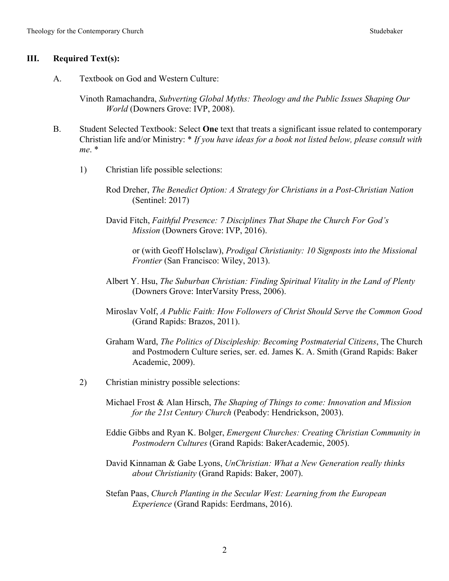#### **III. Required Text(s):**

A. Textbook on God and Western Culture:

Vinoth Ramachandra, *Subverting Global Myths: Theology and the Public Issues Shaping Our World* (Downers Grove: IVP, 2008).

- B. Student Selected Textbook: Select **One** text that treats a significant issue related to contemporary Christian life and/or Ministry: \* *If you have ideas for a book not listed below, please consult with me*. \*
	- 1) Christian life possible selections:

Rod Dreher, *The Benedict Option: A Strategy for Christians in a Post-Christian Nation* (Sentinel: 2017)

David Fitch, *Faithful Presence: 7 Disciplines That Shape the Church For God's Mission* (Downers Grove: IVP, 2016).

or (with Geoff Holsclaw), *Prodigal Christianity: 10 Signposts into the Missional Frontier* (San Francisco: Wiley, 2013).

- Albert Y. Hsu, *The Suburban Christian: Finding Spiritual Vitality in the Land of Plenty* (Downers Grove: InterVarsity Press, 2006).
- Miroslav Volf, *A Public Faith: How Followers of Christ Should Serve the Common Good* (Grand Rapids: Brazos, 2011).
- Graham Ward, *The Politics of Discipleship: Becoming Postmaterial Citizens*, The Church and Postmodern Culture series, ser. ed. James K. A. Smith (Grand Rapids: Baker Academic, 2009).
- 2) Christian ministry possible selections:

Michael Frost & Alan Hirsch, *The Shaping of Things to come: Innovation and Mission for the 21st Century Church* (Peabody: Hendrickson, 2003).

- Eddie Gibbs and Ryan K. Bolger, *Emergent Churches: Creating Christian Community in Postmodern Cultures* (Grand Rapids: BakerAcademic, 2005).
- David Kinnaman & Gabe Lyons, *UnChristian: What a New Generation really thinks about Christianity* (Grand Rapids: Baker, 2007).
- Stefan Paas, *Church Planting in the Secular West: Learning from the European Experience* (Grand Rapids: Eerdmans, 2016).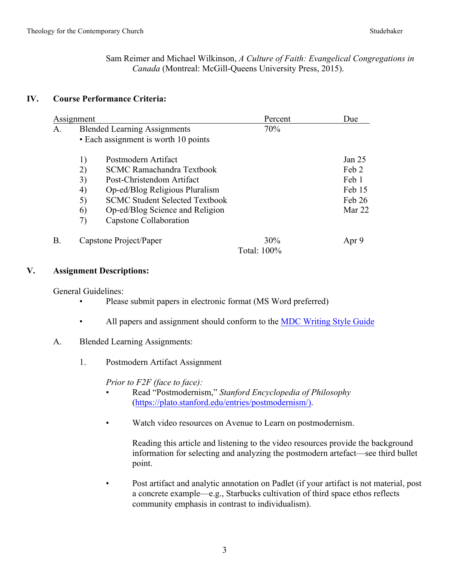Sam Reimer and Michael Wilkinson, *A Culture of Faith: Evangelical Congregations in Canada* (Montreal: McGill-Queens University Press, 2015).

### **IV. Course Performance Criteria:**

| Assignment |                                                                             |                                                                                                                                                                                                                              | Percent               | Due                                                               |
|------------|-----------------------------------------------------------------------------|------------------------------------------------------------------------------------------------------------------------------------------------------------------------------------------------------------------------------|-----------------------|-------------------------------------------------------------------|
| A.         | <b>Blended Learning Assignments</b><br>• Each assignment is worth 10 points |                                                                                                                                                                                                                              | 70%                   |                                                                   |
|            | 1)<br>2)<br>3)<br>4)<br>5)<br>6)<br>7)                                      | Postmodern Artifact<br><b>SCMC Ramachandra Textbook</b><br>Post-Christendom Artifact<br>Op-ed/Blog Religious Pluralism<br><b>SCMC Student Selected Textbook</b><br>Op-ed/Blog Science and Religion<br>Capstone Collaboration |                       | Jan <sub>25</sub><br>Feb 2<br>Feb 1<br>Feb 15<br>Feb 26<br>Mar 22 |
| <b>B</b> . |                                                                             | Capstone Project/Paper                                                                                                                                                                                                       | 30%<br>Total: $100\%$ | Apr 9                                                             |

#### **V. Assignment Descriptions:**

General Guidelines:

- Please submit papers in electronic format (MS Word preferred)
- All papers and assignment should conform to the MDC Writing Style Guide
- A. Blended Learning Assignments:
	- 1. Postmodern Artifact Assignment

*Prior to F2F (face to face):*

- Read "Postmodernism," *Stanford Encyclopedia of Philosophy* (https://plato.stanford.edu/entries/postmodernism/).
- Watch video resources on Avenue to Learn on postmodernism.

Reading this article and listening to the video resources provide the background information for selecting and analyzing the postmodern artefact—see third bullet point.

• Post artifact and analytic annotation on Padlet (if your artifact is not material, post a concrete example—e.g., Starbucks cultivation of third space ethos reflects community emphasis in contrast to individualism).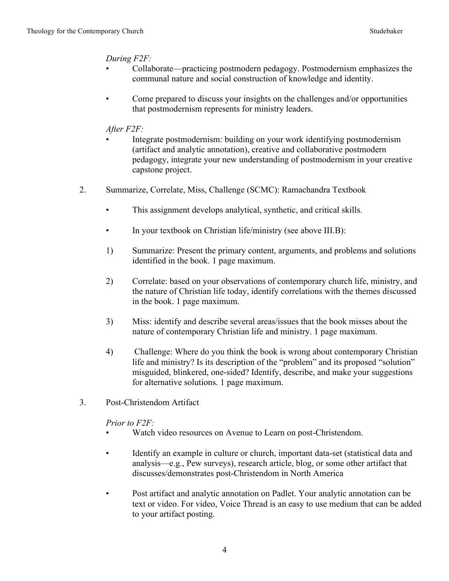#### *During F2F:*

- Collaborate—practicing postmodern pedagogy. Postmodernism emphasizes the communal nature and social construction of knowledge and identity.
- Come prepared to discuss your insights on the challenges and/or opportunities that postmodernism represents for ministry leaders.

### *After F2F:*

- Integrate postmodernism: building on your work identifying postmodernism (artifact and analytic annotation), creative and collaborative postmodern pedagogy, integrate your new understanding of postmodernism in your creative capstone project.
- 2. Summarize, Correlate, Miss, Challenge (SCMC): Ramachandra Textbook
	- This assignment develops analytical, synthetic, and critical skills.
	- In your textbook on Christian life/ministry (see above III.B):
	- 1) Summarize: Present the primary content, arguments, and problems and solutions identified in the book. 1 page maximum.
	- 2) Correlate: based on your observations of contemporary church life, ministry, and the nature of Christian life today, identify correlations with the themes discussed in the book. 1 page maximum.
	- 3) Miss: identify and describe several areas/issues that the book misses about the nature of contemporary Christian life and ministry. 1 page maximum.
	- 4) Challenge: Where do you think the book is wrong about contemporary Christian life and ministry? Is its description of the "problem" and its proposed "solution" misguided, blinkered, one-sided? Identify, describe, and make your suggestions for alternative solutions. 1 page maximum.
- 3. Post-Christendom Artifact

*Prior to F2F:*

- Watch video resources on Avenue to Learn on post-Christendom.
- Identify an example in culture or church, important data-set (statistical data and analysis—e.g., Pew surveys), research article, blog, or some other artifact that discusses/demonstrates post-Christendom in North America
- Post artifact and analytic annotation on Padlet. Your analytic annotation can be text or video. For video, Voice Thread is an easy to use medium that can be added to your artifact posting.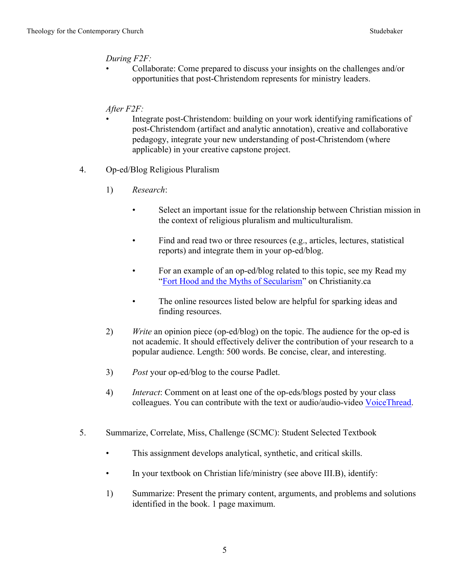#### *During F2F:*

• Collaborate: Come prepared to discuss your insights on the challenges and/or opportunities that post-Christendom represents for ministry leaders.

### *After F2F:*

- Integrate post-Christendom: building on your work identifying ramifications of post-Christendom (artifact and analytic annotation), creative and collaborative pedagogy, integrate your new understanding of post-Christendom (where applicable) in your creative capstone project.
- 4. Op-ed/Blog Religious Pluralism
	- 1) *Research*:
		- Select an important issue for the relationship between Christian mission in the context of religious pluralism and multiculturalism.
		- Find and read two or three resources (e.g., articles, lectures, statistical reports) and integrate them in your op-ed/blog.
		- For an example of an op-ed/blog related to this topic, see my Read my "Fort Hood and the Myths of Secularism" on Christianity.ca
		- The online resources listed below are helpful for sparking ideas and finding resources.
	- 2) *Write* an opinion piece (op-ed/blog) on the topic. The audience for the op-ed is not academic. It should effectively deliver the contribution of your research to a popular audience. Length: 500 words. Be concise, clear, and interesting.
	- 3) *Post* your op-ed/blog to the course Padlet.
	- 4) *Interact*: Comment on at least one of the op-eds/blogs posted by your class colleagues. You can contribute with the text or audio/audio-video VoiceThread.
- 5. Summarize, Correlate, Miss, Challenge (SCMC): Student Selected Textbook
	- This assignment develops analytical, synthetic, and critical skills.
	- In your textbook on Christian life/ministry (see above III.B), identify:
	- 1) Summarize: Present the primary content, arguments, and problems and solutions identified in the book. 1 page maximum.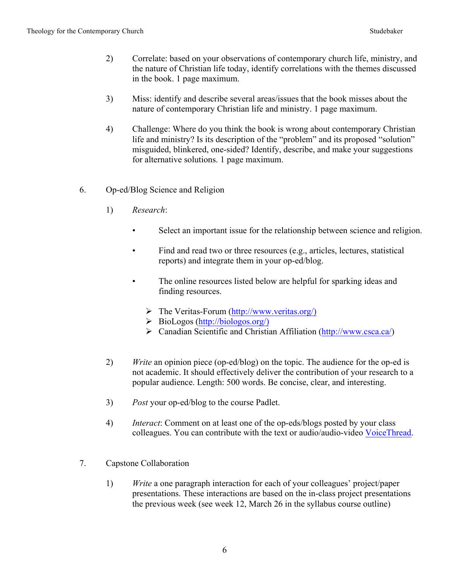- 2) Correlate: based on your observations of contemporary church life, ministry, and the nature of Christian life today, identify correlations with the themes discussed in the book. 1 page maximum.
- 3) Miss: identify and describe several areas/issues that the book misses about the nature of contemporary Christian life and ministry. 1 page maximum.
- 4) Challenge: Where do you think the book is wrong about contemporary Christian life and ministry? Is its description of the "problem" and its proposed "solution" misguided, blinkered, one-sided? Identify, describe, and make your suggestions for alternative solutions. 1 page maximum.
- 6. Op-ed/Blog Science and Religion
	- 1) *Research*:
		- Select an important issue for the relationship between science and religion.
		- Find and read two or three resources (e.g., articles, lectures, statistical reports) and integrate them in your op-ed/blog.
		- The online resources listed below are helpful for sparking ideas and finding resources.
			- $\triangleright$  The Veritas-Forum (http://www.veritas.org/)
			- $\triangleright$  BioLogos (http://biologos.org/)
			- $\triangleright$  Canadian Scientific and Christian Affiliation (http://www.csca.ca/)
	- 2) *Write* an opinion piece (op-ed/blog) on the topic. The audience for the op-ed is not academic. It should effectively deliver the contribution of your research to a popular audience. Length: 500 words. Be concise, clear, and interesting.
	- 3) *Post* your op-ed/blog to the course Padlet.
	- 4) *Interact*: Comment on at least one of the op-eds/blogs posted by your class colleagues. You can contribute with the text or audio/audio-video VoiceThread.
- 7. Capstone Collaboration
	- 1) *Write* a one paragraph interaction for each of your colleagues' project/paper presentations. These interactions are based on the in-class project presentations the previous week (see week 12, March 26 in the syllabus course outline)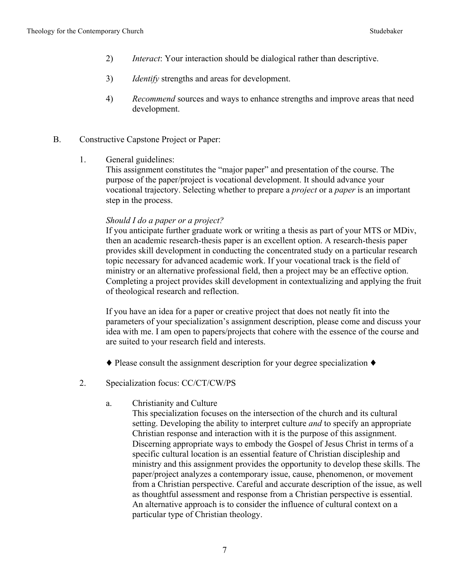- 2) *Interact*: Your interaction should be dialogical rather than descriptive.
- 3) *Identify* strengths and areas for development.
- 4) *Recommend* sources and ways to enhance strengths and improve areas that need development.
- B. Constructive Capstone Project or Paper:
	- 1. General guidelines:

This assignment constitutes the "major paper" and presentation of the course. The purpose of the paper/project is vocational development. It should advance your vocational trajectory. Selecting whether to prepare a *project* or a *paper* is an important step in the process.

#### *Should I do a paper or a project?*

If you anticipate further graduate work or writing a thesis as part of your MTS or MDiv, then an academic research-thesis paper is an excellent option. A research-thesis paper provides skill development in conducting the concentrated study on a particular research topic necessary for advanced academic work. If your vocational track is the field of ministry or an alternative professional field, then a project may be an effective option. Completing a project provides skill development in contextualizing and applying the fruit of theological research and reflection.

If you have an idea for a paper or creative project that does not neatly fit into the parameters of your specialization's assignment description, please come and discuss your idea with me. I am open to papers/projects that cohere with the essence of the course and are suited to your research field and interests.

- ♦ Please consult the assignment description for your degree specialization ♦
- 2. Specialization focus: CC/CT/CW/PS
	- a. Christianity and Culture

This specialization focuses on the intersection of the church and its cultural setting. Developing the ability to interpret culture *and* to specify an appropriate Christian response and interaction with it is the purpose of this assignment. Discerning appropriate ways to embody the Gospel of Jesus Christ in terms of a specific cultural location is an essential feature of Christian discipleship and ministry and this assignment provides the opportunity to develop these skills. The paper/project analyzes a contemporary issue, cause, phenomenon, or movement from a Christian perspective. Careful and accurate description of the issue, as well as thoughtful assessment and response from a Christian perspective is essential. An alternative approach is to consider the influence of cultural context on a particular type of Christian theology.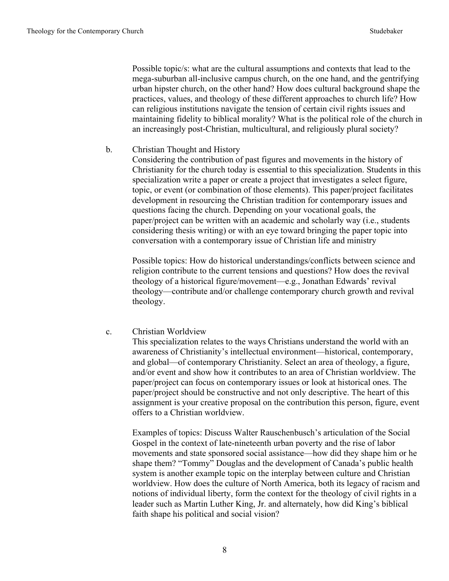Possible topic/s: what are the cultural assumptions and contexts that lead to the mega-suburban all-inclusive campus church, on the one hand, and the gentrifying urban hipster church, on the other hand? How does cultural background shape the practices, values, and theology of these different approaches to church life? How can religious institutions navigate the tension of certain civil rights issues and maintaining fidelity to biblical morality? What is the political role of the church in an increasingly post-Christian, multicultural, and religiously plural society?

#### b. Christian Thought and History

Considering the contribution of past figures and movements in the history of Christianity for the church today is essential to this specialization. Students in this specialization write a paper or create a project that investigates a select figure, topic, or event (or combination of those elements). This paper/project facilitates development in resourcing the Christian tradition for contemporary issues and questions facing the church. Depending on your vocational goals, the paper/project can be written with an academic and scholarly way (i.e., students considering thesis writing) or with an eye toward bringing the paper topic into conversation with a contemporary issue of Christian life and ministry

Possible topics: How do historical understandings/conflicts between science and religion contribute to the current tensions and questions? How does the revival theology of a historical figure/movement—e.g., Jonathan Edwards' revival theology—contribute and/or challenge contemporary church growth and revival theology.

#### c. Christian Worldview

This specialization relates to the ways Christians understand the world with an awareness of Christianity's intellectual environment—historical, contemporary, and global—of contemporary Christianity. Select an area of theology, a figure, and/or event and show how it contributes to an area of Christian worldview. The paper/project can focus on contemporary issues or look at historical ones. The paper/project should be constructive and not only descriptive. The heart of this assignment is your creative proposal on the contribution this person, figure, event offers to a Christian worldview.

Examples of topics: Discuss Walter Rauschenbusch's articulation of the Social Gospel in the context of late-nineteenth urban poverty and the rise of labor movements and state sponsored social assistance—how did they shape him or he shape them? "Tommy" Douglas and the development of Canada's public health system is another example topic on the interplay between culture and Christian worldview. How does the culture of North America, both its legacy of racism and notions of individual liberty, form the context for the theology of civil rights in a leader such as Martin Luther King, Jr. and alternately, how did King's biblical faith shape his political and social vision?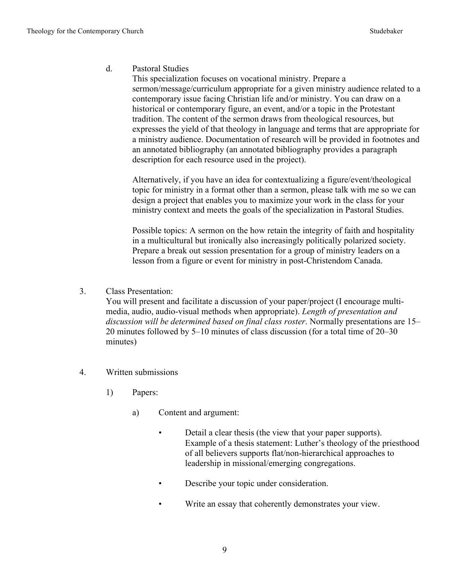#### d. Pastoral Studies

This specialization focuses on vocational ministry. Prepare a sermon/message/curriculum appropriate for a given ministry audience related to a contemporary issue facing Christian life and/or ministry. You can draw on a historical or contemporary figure, an event, and/or a topic in the Protestant tradition. The content of the sermon draws from theological resources, but expresses the yield of that theology in language and terms that are appropriate for a ministry audience. Documentation of research will be provided in footnotes and an annotated bibliography (an annotated bibliography provides a paragraph description for each resource used in the project).

Alternatively, if you have an idea for contextualizing a figure/event/theological topic for ministry in a format other than a sermon, please talk with me so we can design a project that enables you to maximize your work in the class for your ministry context and meets the goals of the specialization in Pastoral Studies.

Possible topics: A sermon on the how retain the integrity of faith and hospitality in a multicultural but ironically also increasingly politically polarized society. Prepare a break out session presentation for a group of ministry leaders on a lesson from a figure or event for ministry in post-Christendom Canada.

3. Class Presentation:

You will present and facilitate a discussion of your paper/project (I encourage multimedia, audio, audio-visual methods when appropriate). *Length of presentation and discussion will be determined based on final class roster*. Normally presentations are 15– 20 minutes followed by 5–10 minutes of class discussion (for a total time of 20–30 minutes)

- 4. Written submissions
	- 1) Papers:
		- a) Content and argument:
			- Detail a clear thesis (the view that your paper supports). Example of a thesis statement: Luther's theology of the priesthood of all believers supports flat/non-hierarchical approaches to leadership in missional/emerging congregations.
			- Describe your topic under consideration.
			- Write an essay that coherently demonstrates your view.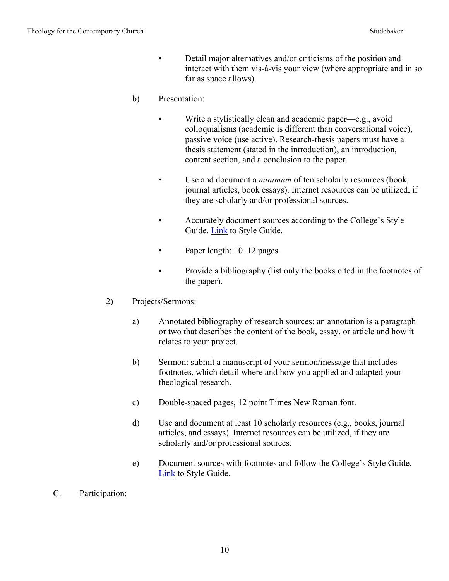- Detail major alternatives and/or criticisms of the position and interact with them vis-à-vis your view (where appropriate and in so far as space allows).
- b) Presentation:
	- Write a stylistically clean and academic paper—e.g., avoid colloquialisms (academic is different than conversational voice), passive voice (use active). Research-thesis papers must have a thesis statement (stated in the introduction), an introduction, content section, and a conclusion to the paper.
	- Use and document a *minimum* of ten scholarly resources (book, journal articles, book essays). Internet resources can be utilized, if they are scholarly and/or professional sources.
	- Accurately document sources according to the College's Style Guide. Link to Style Guide.
	- Paper length: 10–12 pages.
	- Provide a bibliography (list only the books cited in the footnotes of the paper).
- 2) Projects/Sermons:
	- a) Annotated bibliography of research sources: an annotation is a paragraph or two that describes the content of the book, essay, or article and how it relates to your project.
	- b) Sermon: submit a manuscript of your sermon/message that includes footnotes, which detail where and how you applied and adapted your theological research.
	- c) Double-spaced pages, 12 point Times New Roman font.
	- d) Use and document at least 10 scholarly resources (e.g., books, journal articles, and essays). Internet resources can be utilized, if they are scholarly and/or professional sources.
	- e) Document sources with footnotes and follow the College's Style Guide. Link to Style Guide.
- C. Participation: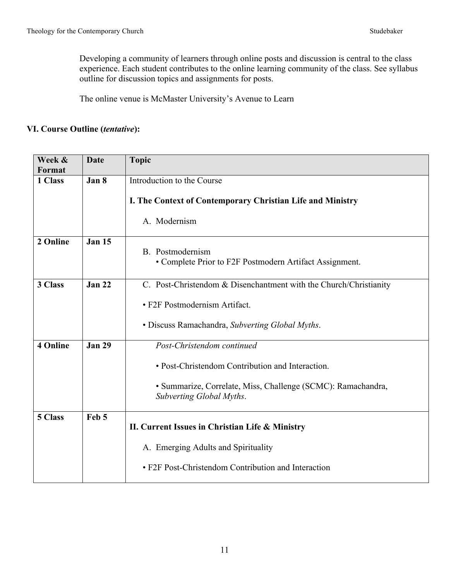Developing a community of learners through online posts and discussion is central to the class experience. Each student contributes to the online learning community of the class. See syllabus outline for discussion topics and assignments for posts.

The online venue is McMaster University's Avenue to Learn

### **VI. Course Outline (***tentative***):**

| Week &          | <b>Date</b>   | <b>Topic</b>                                                                             |
|-----------------|---------------|------------------------------------------------------------------------------------------|
| Format          |               |                                                                                          |
| 1 Class         | Jan 8         | Introduction to the Course                                                               |
|                 |               | I. The Context of Contemporary Christian Life and Ministry                               |
|                 |               | A. Modernism                                                                             |
| 2 Online        | <b>Jan 15</b> | B. Postmodernism<br>• Complete Prior to F2F Postmodern Artifact Assignment.              |
| 3 Class         | <b>Jan 22</b> | C. Post-Christendom & Disenchantment with the Church/Christianity                        |
|                 |               |                                                                                          |
|                 |               | • F2F Postmodernism Artifact.                                                            |
|                 |               | • Discuss Ramachandra, Subverting Global Myths.                                          |
| <b>4 Online</b> | <b>Jan 29</b> | Post-Christendom continued                                                               |
|                 |               | • Post-Christendom Contribution and Interaction.                                         |
|                 |               | • Summarize, Correlate, Miss, Challenge (SCMC): Ramachandra,<br>Subverting Global Myths. |
| 5 Class         | Feb 5         |                                                                                          |
|                 |               | II. Current Issues in Christian Life & Ministry                                          |
|                 |               | A. Emerging Adults and Spirituality                                                      |
|                 |               | • F2F Post-Christendom Contribution and Interaction                                      |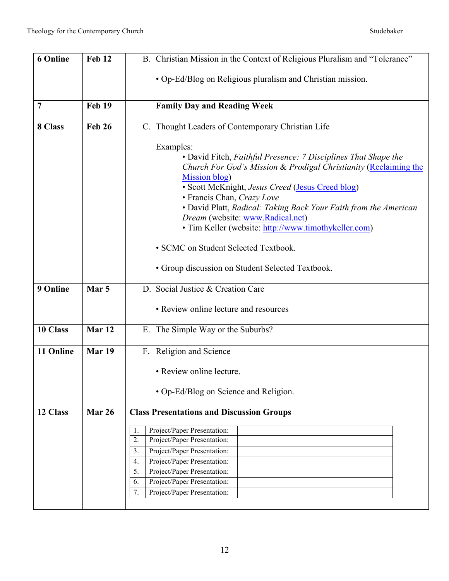| <b>6 Online</b> | Feb 12            | B. Christian Mission in the Context of Religious Pluralism and "Tolerance"                     |  |
|-----------------|-------------------|------------------------------------------------------------------------------------------------|--|
|                 |                   |                                                                                                |  |
|                 |                   | • Op-Ed/Blog on Religious pluralism and Christian mission.                                     |  |
| $\overline{7}$  | Feb 19            | <b>Family Day and Reading Week</b>                                                             |  |
|                 |                   |                                                                                                |  |
| 8 Class         | <b>Feb 26</b>     | C. Thought Leaders of Contemporary Christian Life                                              |  |
|                 |                   | Examples:                                                                                      |  |
|                 |                   | • David Fitch, Faithful Presence: 7 Disciplines That Shape the                                 |  |
|                 |                   | Church For God's Mission & Prodigal Christianity (Reclaiming the                               |  |
|                 |                   | Mission blog)                                                                                  |  |
|                 |                   | · Scott McKnight, Jesus Creed (Jesus Creed blog)                                               |  |
|                 |                   | • Francis Chan, Crazy Love<br>• David Platt, Radical: Taking Back Your Faith from the American |  |
|                 |                   | Dream (website: www.Radical.net)                                                               |  |
|                 |                   | • Tim Keller (website: http://www.timothykeller.com)                                           |  |
|                 |                   |                                                                                                |  |
|                 |                   | • SCMC on Student Selected Textbook.                                                           |  |
|                 |                   | • Group discussion on Student Selected Textbook.                                               |  |
| 9 Online        | Mar <sub>5</sub>  | D. Social Justice & Creation Care                                                              |  |
|                 |                   | • Review online lecture and resources                                                          |  |
|                 |                   |                                                                                                |  |
| 10 Class        | Mar <sub>12</sub> | E. The Simple Way or the Suburbs?                                                              |  |
| 11 Online       | Mar 19            | F. Religion and Science                                                                        |  |
|                 |                   |                                                                                                |  |
|                 |                   | • Review online lecture.                                                                       |  |
|                 |                   | • Op-Ed/Blog on Science and Religion.                                                          |  |
|                 |                   |                                                                                                |  |
| 12 Class        | Mar 26            | <b>Class Presentations and Discussion Groups</b>                                               |  |
|                 |                   | Project/Paper Presentation:<br>1.                                                              |  |
|                 |                   | Project/Paper Presentation:<br>2.                                                              |  |
|                 |                   | Project/Paper Presentation:<br>3.                                                              |  |
|                 |                   | Project/Paper Presentation:<br>4.                                                              |  |
|                 |                   | 5.<br>Project/Paper Presentation:                                                              |  |
|                 |                   | Project/Paper Presentation:<br>6.                                                              |  |
|                 |                   | Project/Paper Presentation:<br>7.                                                              |  |
|                 |                   |                                                                                                |  |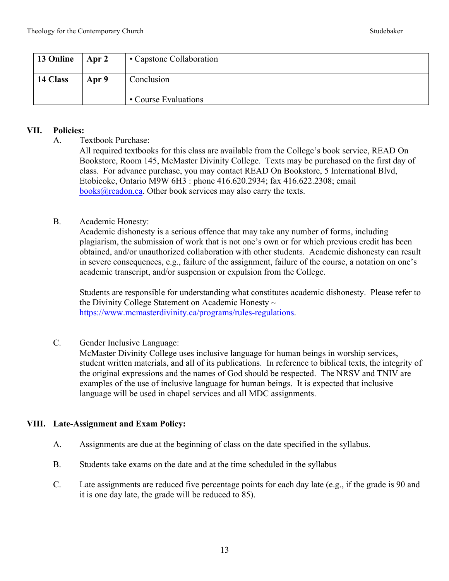| 13 Online | $\vert$ Apr 2 | • Capstone Collaboration           |
|-----------|---------------|------------------------------------|
| 14 Class  | Apr 9         | Conclusion<br>• Course Evaluations |

#### **VII. Policies:**

A. Textbook Purchase:

All required textbooks for this class are available from the College's book service, READ On Bookstore, Room 145, McMaster Divinity College. Texts may be purchased on the first day of class. For advance purchase, you may contact READ On Bookstore, 5 International Blvd, Etobicoke, Ontario M9W 6H3 : phone 416.620.2934; fax 416.622.2308; email  $books@readon.ca.$  Other book services may also carry the texts.

### B. Academic Honesty:

Academic dishonesty is a serious offence that may take any number of forms, including plagiarism, the submission of work that is not one's own or for which previous credit has been obtained, and/or unauthorized collaboration with other students. Academic dishonesty can result in severe consequences, e.g., failure of the assignment, failure of the course, a notation on one's academic transcript, and/or suspension or expulsion from the College.

Students are responsible for understanding what constitutes academic dishonesty. Please refer to the Divinity College Statement on Academic Honesty ~ https://www.mcmasterdivinity.ca/programs/rules-regulations.

### C. Gender Inclusive Language:

McMaster Divinity College uses inclusive language for human beings in worship services, student written materials, and all of its publications. In reference to biblical texts, the integrity of the original expressions and the names of God should be respected. The NRSV and TNIV are examples of the use of inclusive language for human beings. It is expected that inclusive language will be used in chapel services and all MDC assignments.

### **VIII. Late-Assignment and Exam Policy:**

- A. Assignments are due at the beginning of class on the date specified in the syllabus.
- B. Students take exams on the date and at the time scheduled in the syllabus
- C. Late assignments are reduced five percentage points for each day late (e.g., if the grade is 90 and it is one day late, the grade will be reduced to 85).